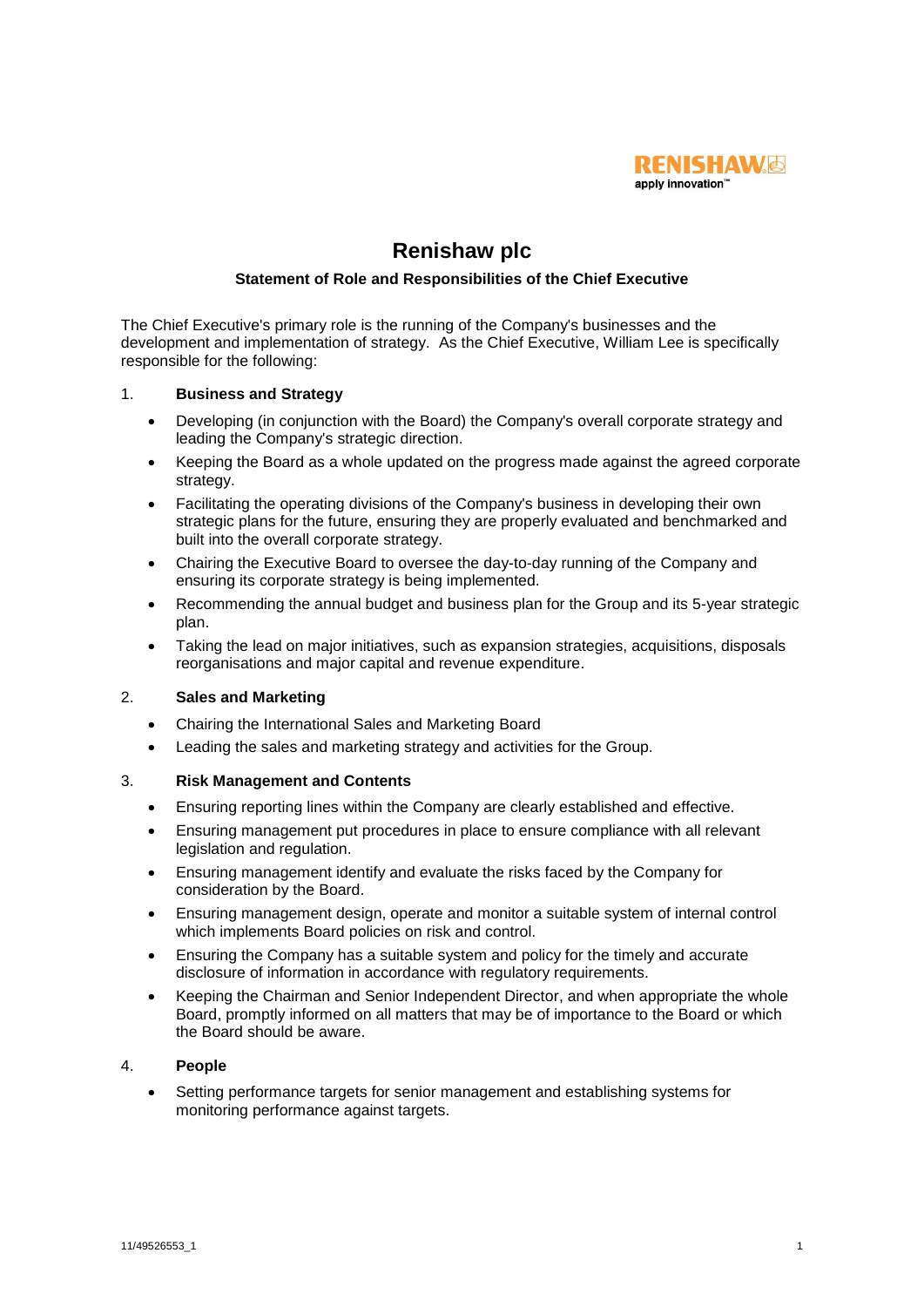

# **Renishaw plc**

### **Statement of Role and Responsibilities of the Chief Executive**

The Chief Executive's primary role is the running of the Company's businesses and the development and implementation of strategy. As the Chief Executive, William Lee is specifically responsible for the following:

#### 1. **Business and Strategy**

- Developing (in conjunction with the Board) the Company's overall corporate strategy and leading the Company's strategic direction.
- Keeping the Board as a whole updated on the progress made against the agreed corporate strategy.
- Facilitating the operating divisions of the Company's business in developing their own strategic plans for the future, ensuring they are properly evaluated and benchmarked and built into the overall corporate strategy.
- Chairing the Executive Board to oversee the day-to-day running of the Company and ensuring its corporate strategy is being implemented.
- Recommending the annual budget and business plan for the Group and its 5-year strategic plan.
- Taking the lead on major initiatives, such as expansion strategies, acquisitions, disposals reorganisations and major capital and revenue expenditure.

### 2. **Sales and Marketing**

- Chairing the International Sales and Marketing Board
- Leading the sales and marketing strategy and activities for the Group.

### 3. **Risk Management and Contents**

- Ensuring reporting lines within the Company are clearly established and effective.
- Ensuring management put procedures in place to ensure compliance with all relevant legislation and regulation.
- Ensuring management identify and evaluate the risks faced by the Company for consideration by the Board.
- Ensuring management design, operate and monitor a suitable system of internal control which implements Board policies on risk and control.
- Ensuring the Company has a suitable system and policy for the timely and accurate disclosure of information in accordance with regulatory requirements.
- Keeping the Chairman and Senior Independent Director, and when appropriate the whole Board, promptly informed on all matters that may be of importance to the Board or which the Board should be aware.

### 4. **People**

• Setting performance targets for senior management and establishing systems for monitoring performance against targets.